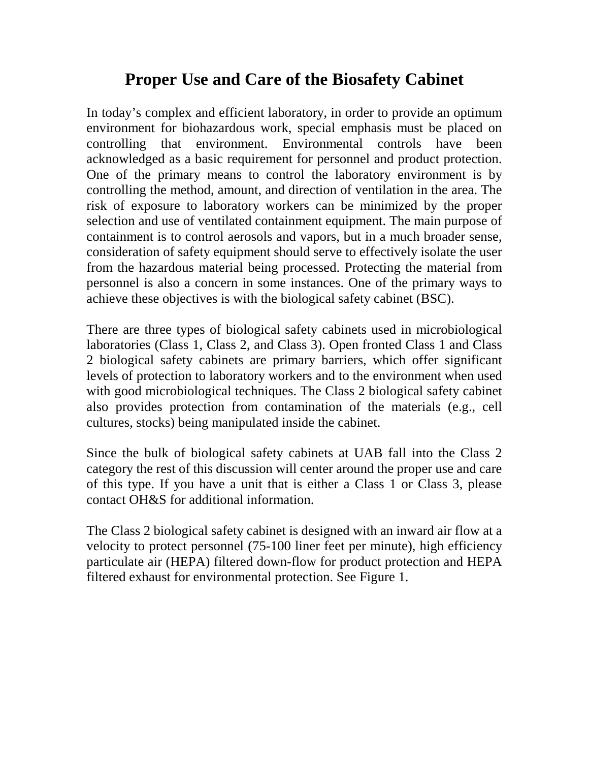## **Proper Use and Care of the Biosafety Cabinet**

In today's complex and efficient laboratory, in order to provide an optimum environment for biohazardous work, special emphasis must be placed on controlling that environment. Environmental controls have been acknowledged as a basic requirement for personnel and product protection. One of the primary means to control the laboratory environment is by controlling the method, amount, and direction of ventilation in the area. The risk of exposure to laboratory workers can be minimized by the proper selection and use of ventilated containment equipment. The main purpose of containment is to control aerosols and vapors, but in a much broader sense, consideration of safety equipment should serve to effectively isolate the user from the hazardous material being processed. Protecting the material from personnel is also a concern in some instances. One of the primary ways to achieve these objectives is with the biological safety cabinet (BSC).

There are three types of biological safety cabinets used in microbiological laboratories (Class 1, Class 2, and Class 3). Open fronted Class 1 and Class 2 biological safety cabinets are primary barriers, which offer significant levels of protection to laboratory workers and to the environment when used with good microbiological techniques. The Class 2 biological safety cabinet also provides protection from contamination of the materials (e.g., cell cultures, stocks) being manipulated inside the cabinet.

Since the bulk of biological safety cabinets at UAB fall into the Class 2 category the rest of this discussion will center around the proper use and care of this type. If you have a unit that is either a Class 1 or Class 3, please contact OH&S for additional information.

The Class 2 biological safety cabinet is designed with an inward air flow at a velocity to protect personnel (75-100 liner feet per minute), high efficiency particulate air (HEPA) filtered down-flow for product protection and HEPA filtered exhaust for environmental protection. See Figure 1.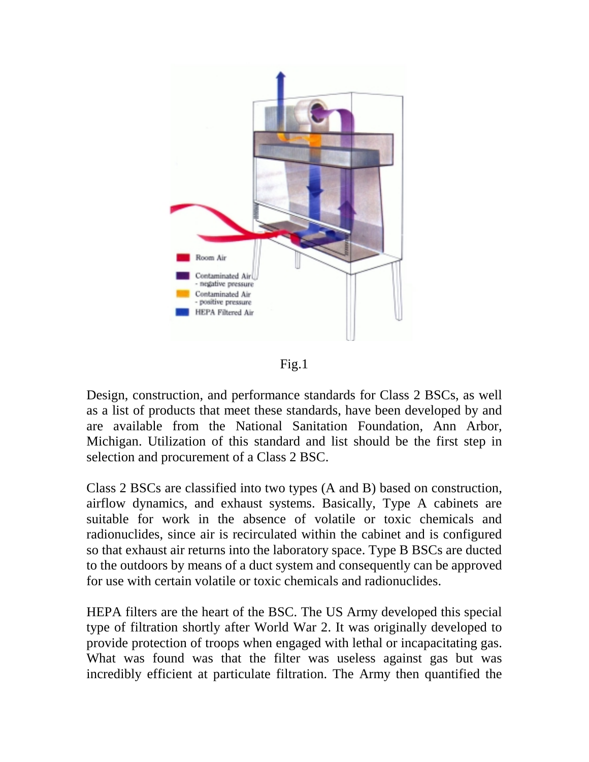

Fig.1

Design, construction, and performance standards for Class 2 BSCs, as well as a list of products that meet these standards, have been developed by and are available from the National Sanitation Foundation, Ann Arbor, Michigan. Utilization of this standard and list should be the first step in selection and procurement of a Class 2 BSC.

Class 2 BSCs are classified into two types (A and B) based on construction, airflow dynamics, and exhaust systems. Basically, Type A cabinets are suitable for work in the absence of volatile or toxic chemicals and radionuclides, since air is recirculated within the cabinet and is configured so that exhaust air returns into the laboratory space. Type B BSCs are ducted to the outdoors by means of a duct system and consequently can be approved for use with certain volatile or toxic chemicals and radionuclides.

HEPA filters are the heart of the BSC. The US Army developed this special type of filtration shortly after World War 2. It was originally developed to provide protection of troops when engaged with lethal or incapacitating gas. What was found was that the filter was useless against gas but was incredibly efficient at particulate filtration. The Army then quantified the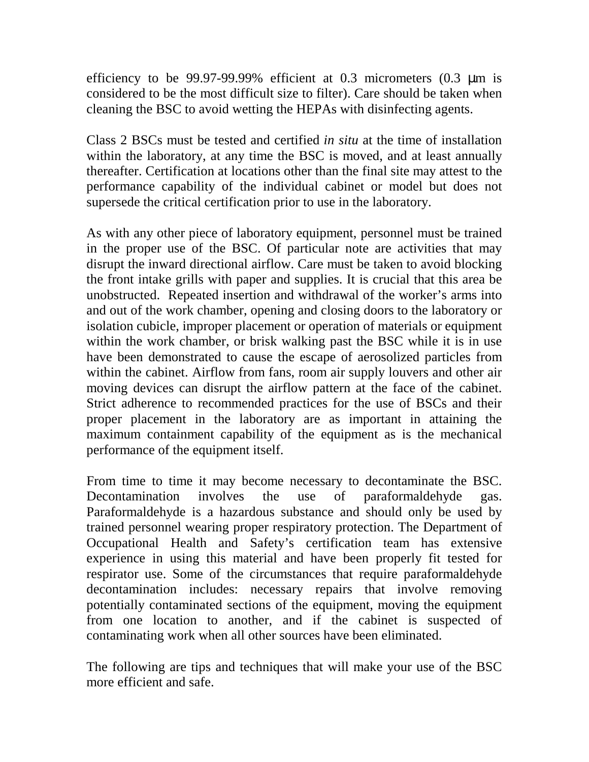efficiency to be 99.97-99.99% efficient at 0.3 micrometers  $(0.3 \mu m)$  is considered to be the most difficult size to filter). Care should be taken when cleaning the BSC to avoid wetting the HEPAs with disinfecting agents.

Class 2 BSCs must be tested and certified *in situ* at the time of installation within the laboratory, at any time the BSC is moved, and at least annually thereafter. Certification at locations other than the final site may attest to the performance capability of the individual cabinet or model but does not supersede the critical certification prior to use in the laboratory.

As with any other piece of laboratory equipment, personnel must be trained in the proper use of the BSC. Of particular note are activities that may disrupt the inward directional airflow. Care must be taken to avoid blocking the front intake grills with paper and supplies. It is crucial that this area be unobstructed. Repeated insertion and withdrawal of the worker's arms into and out of the work chamber, opening and closing doors to the laboratory or isolation cubicle, improper placement or operation of materials or equipment within the work chamber, or brisk walking past the BSC while it is in use have been demonstrated to cause the escape of aerosolized particles from within the cabinet. Airflow from fans, room air supply louvers and other air moving devices can disrupt the airflow pattern at the face of the cabinet. Strict adherence to recommended practices for the use of BSCs and their proper placement in the laboratory are as important in attaining the maximum containment capability of the equipment as is the mechanical performance of the equipment itself.

From time to time it may become necessary to decontaminate the BSC. Decontamination involves the use of paraformaldehyde gas. Paraformaldehyde is a hazardous substance and should only be used by trained personnel wearing proper respiratory protection. The Department of Occupational Health and Safety's certification team has extensive experience in using this material and have been properly fit tested for respirator use. Some of the circumstances that require paraformaldehyde decontamination includes: necessary repairs that involve removing potentially contaminated sections of the equipment, moving the equipment from one location to another, and if the cabinet is suspected of contaminating work when all other sources have been eliminated.

The following are tips and techniques that will make your use of the BSC more efficient and safe.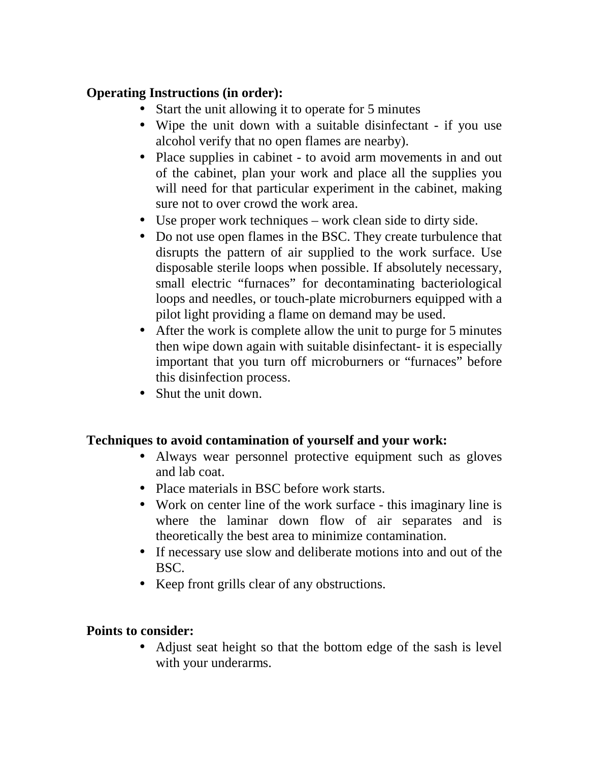## **Operating Instructions (in order):**

- Start the unit allowing it to operate for 5 minutes
- Wipe the unit down with a suitable disinfectant if you use alcohol verify that no open flames are nearby).
- Place supplies in cabinet to avoid arm movements in and out of the cabinet, plan your work and place all the supplies you will need for that particular experiment in the cabinet, making sure not to over crowd the work area.
- Use proper work techniques work clean side to dirty side.
- Do not use open flames in the BSC. They create turbulence that disrupts the pattern of air supplied to the work surface. Use disposable sterile loops when possible. If absolutely necessary, small electric "furnaces" for decontaminating bacteriological loops and needles, or touch-plate microburners equipped with a pilot light providing a flame on demand may be used.
- After the work is complete allow the unit to purge for 5 minutes then wipe down again with suitable disinfectant- it is especially important that you turn off microburners or "furnaces" before this disinfection process.
- Shut the unit down.

## **Techniques to avoid contamination of yourself and your work:**

- Always wear personnel protective equipment such as gloves and lab coat.
- Place materials in BSC before work starts.
- Work on center line of the work surface this imaginary line is where the laminar down flow of air separates and is theoretically the best area to minimize contamination.
- If necessary use slow and deliberate motions into and out of the BSC.
- Keep front grills clear of any obstructions.

## **Points to consider:**

• Adjust seat height so that the bottom edge of the sash is level with your underarms.